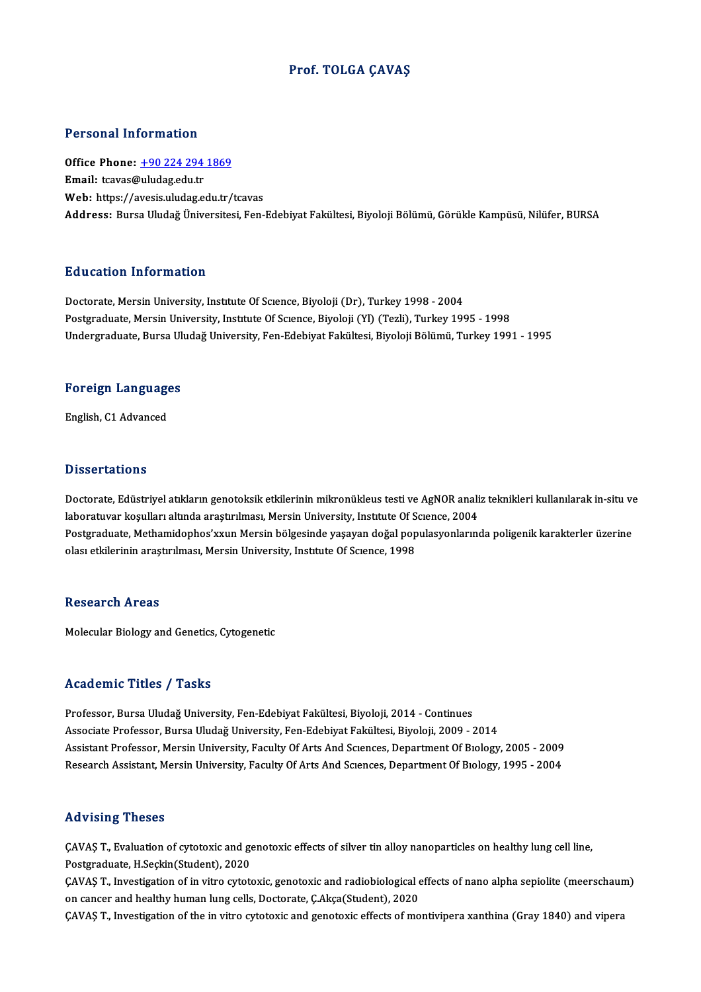### Prof. TOLGA ÇAVAŞ

### Personal Information

Office Phone: +90 224 294 1869 Email: tcavas[@uludag.edu.tr](tel:+90 224 294 1869) Web: https://avesis.uludag.edu.tr/tcavas Address: Bursa Uludağ Üniversitesi, Fen-Edebiyat Fakültesi, Biyoloji Bölümü, Görükle Kampüsü, Nilüfer, BURSA

### Education Information

Doctorate, Mersin University, Institute Of Science, Biyoloji (Dr), Turkey 1998 - 2004 Postgraduate, Mersin University, Institute Of Science, Biyoloji (Yl) (Tezli), Turkey 1995 - 1998 Undergraduate, Bursa Uludağ University, Fen-Edebiyat Fakültesi, Biyoloji Bölümü, Turkey 1991 - 1995

# <sub>ondergraduate, bursa of<br>Foreign Languages</sub> F<mark>oreign Languag</mark>e<br>English, C1 Advanced

English, C1 Advanced<br>Dissertations

Doctorate, Edüstriyel atıkların genotoksik etkilerinin mikronükleus testi ve AgNOR analiz teknikleri kullanılarak in-situ ve laboratuvar koşulları altında araştırılması, Mersin University, Institute Of Science, 2004 Doctorate, Edüstriyel atıkların genotoksik etkilerinin mikronükleus testi ve AgNOR analiz teknikleri kullanılarak in-situ ve<br>laboratuvar koşulları altında araştırılması, Mersin University, Institute Of Science, 2004<br>Postgr laboratuvar koşulları altında araştırılması, Mersin University, Instıtute Of S<br>Postgraduate, Methamidophos'xxun Mersin bölgesinde yaşayan doğal pop<br>olası etkilerinin araştırılması, Mersin University, Institute Of Scıence, olası etkilerinin araştırılması, Mersin University, Institute Of Science, 1998<br>Research Areas

Molecular Biology and Genetics, Cytogenetic

#### Academic Titles / Tasks

Professor, Bursa Uludağ University, Fen-Edebiyat Fakültesi, Biyoloji, 2014 - Continues Associate Professor, Bursa Uludağ University, Fen-Edebiyat Fakültesi, Biyoloji, 2009 - 2014 Assistant Professor, Mersin University, Faculty Of Arts And Sciences, Department Of Biology, 2005 - 2009 Research Assistant, Mersin University, Faculty Of Arts And Sciences, Department Of Biology, 1995 - 2004

#### Advising Theses

Advising Theses<br>ÇAVAŞ T., Evaluation of cytotoxic and genotoxic effects of silver tin alloy nanoparticles on healthy lung cell line,<br>Restanaduate, H Seskin(Student), 2020 Postgraduate, H.S. 2020<br>Postgraduate, H.Seçkin(Student), 2020<br>CAVAS T. Investigation of in vitre gutat ÇAVAŞ T., Evaluation of cytotoxic and genotoxic effects of silver tin alloy nanoparticles on healthy lung cell line,<br>Postgraduate, H.Seçkin(Student), 2020<br>ÇAVAŞ T., Investigation of in vitro cytotoxic, genotoxic and radiob

Postgraduate, H.Seçkin(Student), 2020<br>ÇAVAŞ T., Investigation of in vitro cytotoxic, genotoxic and radiobiological e<br>on cancer and healthy human lung cells, Doctorate, Ç.Akça(Student), 2020<br>CAVAS T. Investigation of the in ÇAVAŞ T., Investigation of in vitro cytotoxic, genotoxic and radiobiological effects of nano alpha sepiolite (meerschaun<br>on cancer and healthy human lung cells, Doctorate, Ç.Akça(Student), 2020<br>ÇAVAŞ T., Investigation of t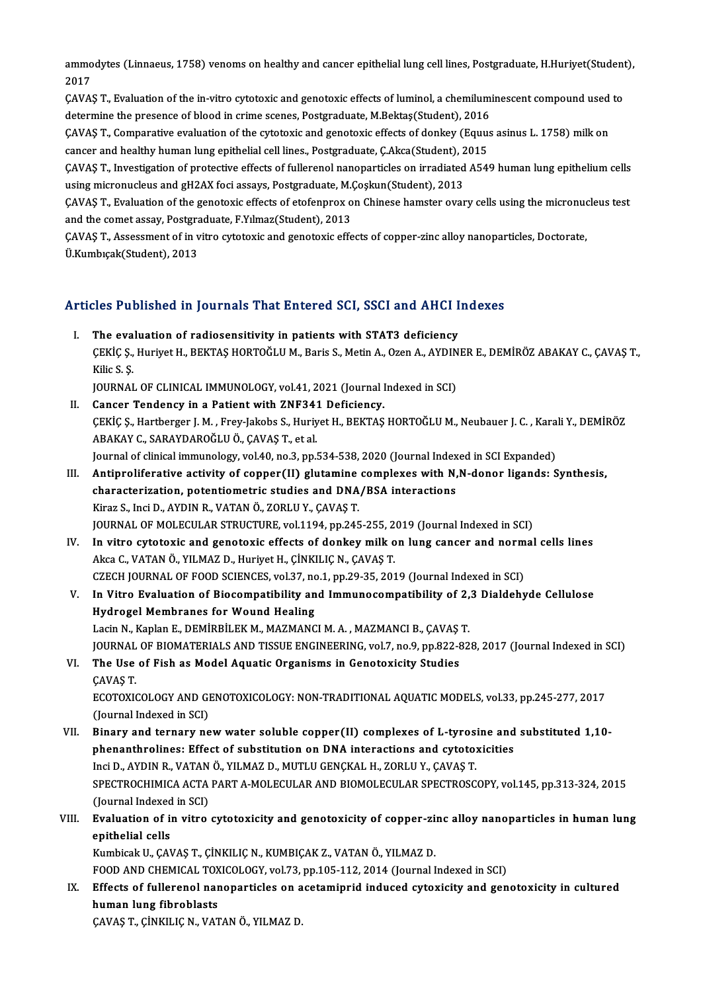ammodytes (Linnaeus, 1758) venoms on healthy and cancer epithelial lung cell lines, Postgraduate, H.Huriyet(Student),<br>2017 ammo<br>2017<br>CAVA ammodytes (Linnaeus, 1758) venoms on healthy and cancer epithelial lung cell lines, Postgraduate, H.Huriyet(Student<br>2017<br>ÇAVAŞ T., Evaluation of the in-vitro cytotoxic and genotoxic effects of luminol, a chemiluminescent c

2017<br>ÇAVAŞ T., Evaluation of the in-vitro cytotoxic and genotoxic effects of luminol, a chemiluminescent compound used to<br>determine the presence of blood in crime scenes, Postgraduate, M.Bektaş(Student), 2016 ÇAVAŞ T., Evaluation of the in-vitro cytotoxic and genotoxic effects of luminol, a chemiluminescent compound used<br>determine the presence of blood in crime scenes, Postgraduate, M.Bektaş(Student), 2016<br>ÇAVAŞ T., Comparative

determine the presence of blood in crime scenes, Postgraduate, M.Bektaş(Student), 2016<br>ÇAVAŞ T., Comparative evaluation of the cytotoxic and genotoxic effects of donkey (Equus<br>cancer and healthy human lung epithelial cell ÇAVAŞ T., Comparative evaluation of the cytotoxic and genotoxic effects of donkey (Equus asinus L. 1758) milk on<br>cancer and healthy human lung epithelial cell lines., Postgraduate, Ç.Akca(Student), 2015<br>ÇAVAŞ T., Investiga

cancer and healthy human lung epithelial cell lines., Postgraduate, Ç.Akca(Student), 2<br>ÇAVAŞ T., Investigation of protective effects of fullerenol nanoparticles on irradiated<br>using micronucleus and gH2AX foci assays, Postg ÇAVAŞ T., Investigation of protective effects of fullerenol nanoparticles on irradiated A549 human lung epithelium cells<br>using micronucleus and gH2AX foci assays, Postgraduate, M.Çoşkun(Student), 2013<br>ÇAVAŞ T., Evaluation

using micronucleus and gH2AX foci assays, Postgraduate, M.<br>CAVAS T., Evaluation of the genotoxic effects of etofenprox of<br>and the comet assay, Postgraduate, F.Yılmaz(Student), 2013<br>CAVAS T. Assessment of in vitro gytetevis ÇAVAŞ T., Evaluation of the genotoxic effects of etofenprox on Chinese hamster ovary cells using the micronucleus test<br>and the comet assay, Postgraduate, F.Yılmaz(Student), 2013<br>ÇAVAŞ T., Assessment of in vitro cytotoxic a

and the comet assay, Postgra<br>ÇAVAŞ T., Assessment of in v<br>Ü.Kumbıçak(Student), 2013

# o.kumbicak(student), 2013<br>Articles Published in Journals That Entered SCI, SSCI and AHCI Indexes

rticles Published in Journals That Entered SCI, SSCI and AHCI I.<br>I. The evaluation of radiosensitivity in patients with STAT3 deficiency SEC 7 dönencu in journus Thut Enter cu ocr, secr und Thref Indenes<br>The evaluation of radiosensitivity in patients with STAT3 deficiency<br>CEKİÇ Ş., Huriyet H., BEKTAŞ HORTOĞLU M., Baris S., Metin A., Ozen A., AYDINER E., DEM The eva<br>ÇEKİÇ Ş.,<br>Kilic S. Ş. ÇEKİÇ Ş., Huriyet H., BEKTAŞ HORTOĞLU M., Baris S., Metin A., Ozen A., AYDIN<br>Kilic S. Ş.<br>JOURNAL OF CLINICAL IMMUNOLOGY, vol.41, 2021 (Journal Indexed in SCI)<br>Canger Tondangy in a Patient with ZNE341 Deficiency Kilic S. Ş.<br>JOURNAL OF CLINICAL IMMUNOLOGY, vol.41, 2021 (Journal Indexed in SCI)<br>II. Cancer Tendency in a Patient with ZNF341 Deficiency.

- ÇEKİÇŞ.,Hartberger J.M. ,Frey-Jakobs S.,HuriyetH.,BEKTAŞHORTOĞLUM.,Neubauer J.C. ,KaraliY.,DEMİRÖZ ABAKAYC.,SARAYDAROĞLUÖ.,ÇAVAŞT.,etal. ÇEKİÇ Ş., Hartberger J. M. , Frey-Jakobs S., Huriyet H., BEKTAŞ HORTOĞLU M., Neubauer J. C. , Kara<br>ABAKAY C., SARAYDAROĞLU Ö., ÇAVAŞ T., et al.<br>Journal of clinical immunology, vol.40, no.3, pp.534-538, 2020 (Journal Indexe
- III. Antiproliferative activity of copper(II) glutamine complexes with N,N-donor ligands: Synthesis, characterization, potentiometric studies and DNA/BSA interactions Journal of clinical immunology, vol.40, no.3, pp.534-538, 2020 (Journal Index<br>Antiproliferative activity of copper(II) glutamine complexes with N,<br>characterization, potentiometric studies and DNA/BSA interactions<br><sup>Virog</sup> S Kiraz S., InciD.,AYDINR.,VATANÖ.,ZORLUY.,ÇAVAŞT. JOURNAL OF MOLECULAR STRUCTURE, vol.1194, pp.245-255, 2019 (Journal Indexed in SCI) Kiraz S., Inci D., AYDIN R., VATAN Ö., ZORLU Y., ÇAVAŞ T.<br>JOURNAL OF MOLECULAR STRUCTURE, vol.1194, pp.245-255, 2019 (Journal Indexed in SCI)<br>IV. In vitro cytotoxic and genotoxic effects of donkey milk on lung cancer and n
- Akca C., VATAN Ö., YILMAZ D., Huriyet H., ÇİNKILIÇ N., ÇAVAŞ T. In vitro cytotoxic and genotoxic effects of donkey milk on lung cancer and norm<br>Akca C., VATAN Ö., YILMAZ D., Huriyet H., ÇİNKILIÇ N., ÇAVAŞ T.<br>CZECH JOURNAL OF FOOD SCIENCES, vol.37, no.1, pp.29-35, 2019 (Journal Indexed CZECH JOURNAL OF FOOD SCIENCES, vol.37, no.1, pp.29-35, 2019 (Journal Indexed in SCI)
- V. In Vitro Evaluation of Biocompatibility and Immunocompatibility of 2,3 Dialdehyde Cellulose<br>Hydrogel Membranes for Wound Healing Lacin N., Kaplan E., DEMİRBİLEK M., MAZMANCI M. A., MAZMANCI B., ÇAVAŞ T. Hydrogel Membranes for Wound Healing<br>Lacin N., Kaplan E., DEMIRBİLEK M., MAZMANCI M. A. , MAZMANCI B., ÇAVAŞ T.<br>JOURNAL OF BIOMATERIALS AND TISSUE ENGINEERING, vol.7, no.9, pp.822-828, 2017 (Journal Indexed in SCI)<br>The Use
- VI. The Use of Fish as Model Aquatic Organisms in Genotoxicity Studies CAVAS T. JOURNAL<br>The Use<br>ÇAVAŞ T.<br>ECOTOYU

ECOTOXICOLOGY AND GENOTOXICOLOGY: NON-TRADITIONAL AQUATIC MODELS, vol.33, pp.245-277, 2017 (Journal Indexed in SCI) ECOTOXICOLOGY AND GENOTOXICOLOGY: NON-TRADITIONAL AQUATIC MODELS, vol.33, pp.245-277, 2017<br>(Journal Indexed in SCI)<br>VII. Binary and ternary new water soluble copper(II) complexes of L-tyrosine and substituted 1,10-<br>nhanont

(Journal Indexed in SCI)<br>Binary and ternary new water soluble copper(II) complexes of L-tyrosine and<br>phenanthrolines: Effect of substitution on DNA interactions and cytotoxicities<br>Ingi D. AYDIN R. VATAN Ö. VILMAZ D. MITH H phenanthrolines: Effect of substitution on DNA interactions and cytotoxicities SPECTROCHIMICA ACTA PART A-MOLECULAR AND BIOMOLECULAR SPECTROSCOPY, vol.145, pp.313-324, 2015<br>(Journal Indexed in SCI) Inci D., AYDIN R., VATAN Ö., YILMAZ D., MUTLU GENÇKAL H., ZORLU Y., ÇAVAŞ T. SPECTROCHIMICA ACTA PART A-MOLECULAR AND BIOMOLECULAR SPECTROSCOPY, vol.145, pp.313-324, 2015<br>(Journal Indexed in SCI)<br>VIII. Evaluation of in vitro cytotoxicity and genotoxicity of copper-zinc alloy nanoparticles in human

## (Journal Indexed<br>**Evaluation of i**<br>epithelial cells<br>Kumbisek II, CAN Evaluation of in vitro cytotoxicity and genotoxicity of copper-zi:<br>epithelial cells<br>Kumbicak U., ÇAVAŞ T., ÇİNKILIÇ N., KUMBIÇAK Z., VATAN Ö., YILMAZ D.<br>EQQD AND CHEMICAL TOYICOLOCY vel 72 np 105 112 2014 (Journal L epithelial cells<br>Kumbicak U., ÇAVAŞ T., ÇİNKILIÇ N., KUMBIÇAK Z., VATAN Ö., YILMAZ D.<br>FOOD AND CHEMICAL TOXICOLOGY, vol.73, pp.105-112, 2014 (Journal Indexed in SCI)<br>Effects of fullerenal nanoporticles en assteminuid indus

Kumbicak U., ÇAVAŞ T., ÇİNKILIÇ N., KUMBIÇAK Z., VATAN Ö., YILMAZ D.<br>FOOD AND CHEMICAL TOXICOLOGY, vol.73, pp.105-112, 2014 (Journal Indexed in SCI)<br>IX. Effects of fullerenol nanoparticles on acetamiprid induced cytoxicity FOOD AND CHEMICAL TOX<br>Effects of fullerenol nar<br>human lung fibroblasts<br>CAVAS T. CNKU IC N. VAT Effects of fullerenol nanoparticles on a<br>human lung fibroblasts<br>ÇAVAŞ T., ÇİNKILIÇ N., VATAN Ö., YILMAZ D.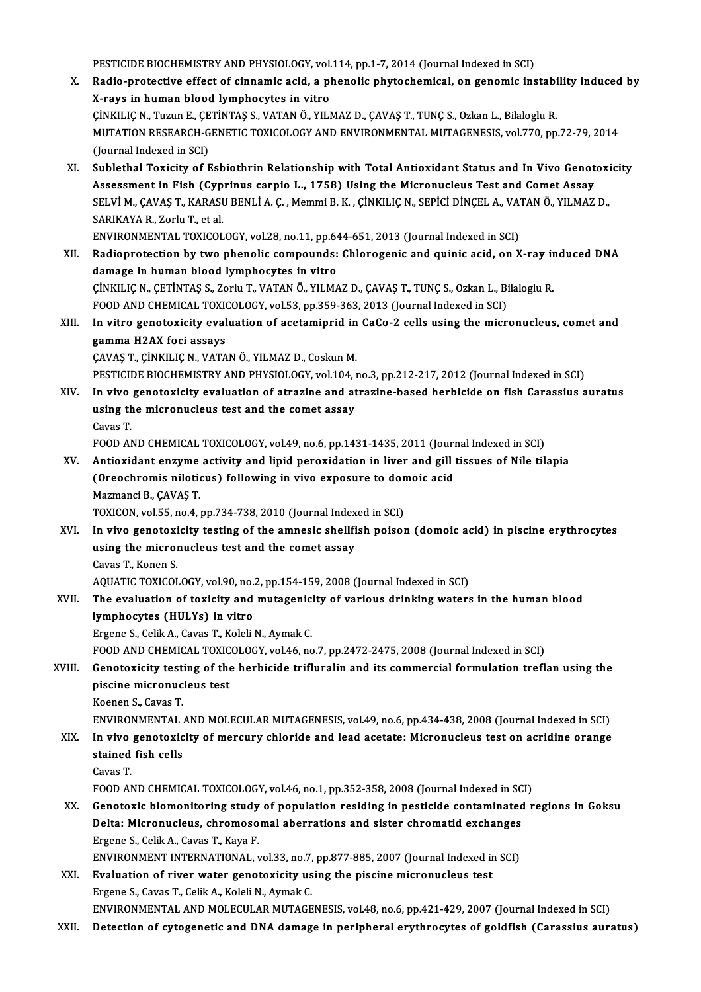PESTICIDE BIOCHEMISTRY AND PHYSIOLOGY, vol.114, pp.1-7, 2014 (Journal Indexed in SCI)<br>Padie protestive effect of sinnemis asid, a phenalis phytoshemisel, an genemis ins

PESTICIDE BIOCHEMISTRY AND PHYSIOLOGY, vol.114, pp.1-7, 2014 (Journal Indexed in SCI)<br>X. Radio-protective effect of cinnamic acid, a phenolic phytochemical, on genomic instability induced by PESTICIDE BIOCHEMISTRY AND PHYSIOLOGY, vol.<br>Radio-protective effect of cinnamic acid, a pl<br>X-rays in human blood lymphocytes in vitro<br>Cinku IC N. Turup E. CETINTAS S. VATAN Ö. VILL Radio-protective effect of cinnamic acid, a phenolic phytochemical, on genomic instabi<br>X-rays in human blood lymphocytes in vitro<br>ÇİNKILIÇ N., Tuzun E., ÇETİNTAŞ S., VATAN Ö., YILMAZ D., ÇAVAŞ T., TUNÇ S., Ozkan L., Bilalo X-rays in human blood lymphocytes in vitro<br>ÇİNKILIÇ N., Tuzun E., ÇETİNTAŞ S., VATAN Ö., YILMAZ D., ÇAVAŞ T., TUNÇ S., Ozkan L., Bilaloglu R.<br>MUTATION RESEARCH-GENETIC TOXICOLOGY AND ENVIRONMENTAL MUTAGENESIS, vol.770, pp. CİNKILIÇ N., Tuzun E., ÇE<br>MUTATION RESEARCH-G<br>(Journal Indexed in SCI)<br>Sublatbal Toxisity of E MUTATION RESEARCH-GENETIC TOXICOLOGY AND ENVIRONMENTAL MUTAGENESIS, vol.770, pp.72-79, 2014<br>(Journal Indexed in SCI)<br>XI. Sublethal Toxicity of Esbiothrin Relationship with Total Antioxidant Status and In Vivo Genotoxicity<br> (Journal Indexed in SCI)<br>XI. Sublethal Toxicity of Esbiothrin Relationship with Total Antioxidant Status and In Vivo Genotoxicity<br>Assessment in Fish (Cyprinus carpio L., 1758) Using the Micronucleus Test and Comet Assay Sublethal Toxicity of Esbiothrin Relationship with Total Antioxidant Status and In Vivo Genotoxi<br>Assessment in Fish (Cyprinus carpio L., 1758) Using the Micronucleus Test and Comet Assay<br>SELVİ M., ÇAVAŞ T., KARASU BENLİ A. Assessment in Fish (Cyp<br>SELVİ M., ÇAVAŞ T., KARASI<br>SARIKAYA R., Zorlu T., et al.<br>ENVIRONMENTAL TOVICOL

SELVİ M., ÇAVAŞ T., KARASU BENLİ A. Ç. , Memmi B. K. , ÇİNKILIÇ N., SEPİCİ DİNÇEL A., VA'<br>SARIKAYA R., Zorlu T., et al.<br>ENVIRONMENTAL TOXICOLOGY, vol.28, no.11, pp.644-651, 2013 (Journal Indexed in SCI)<br>Badianratastian bu SARIKAYA R., Zorlu T., et al.<br>ENVIRONMENTAL TOXICOLOGY, vol.28, no.11, pp.644-651, 2013 (Journal Indexed in SCI)<br>XII. Radioprotection by two phenolic compounds: Chlorogenic and quinic acid, on X-ray induced DNA<br>damage in h ENVIRONMENTAL TOXICOLOGY, vol.28, no.11, pp.64<br>Radioprotection by two phenolic compounds:<br>damage in human blood lymphocytes in vitro<br>Cinvu IC N. CETINTAS S. Zorb: T. VATAN Ö. VU MA Radioprotection by two phenolic compounds: Chlorogenic and quinic acid, on X-ray in<br>damage in human blood lymphocytes in vitro<br>ÇİNKILIÇ N., ÇETİNTAŞ S., Zorlu T., VATAN Ö., YILMAZ D., ÇAVAŞ T., TUNÇ S., Ozkan L., Bilaloglu damage in human blood lymphocytes in vitro<br>ÇİNKILIÇ N., ÇETİNTAŞ S., Zorlu T., VATAN Ö., YILMAZ D., ÇAVAŞ T., TUNÇ S., Ozkan L., Bi<br>FOOD AND CHEMICAL TOXICOLOGY, vol.53, pp.359-363, 2013 (Journal Indexed in SCI)<br>In uitre g

CINKILIC N., CETINTAS S., Zorlu T., VATAN Ö., YILMAZ D., CAVAS T., TUNC S., Ozkan L., Bilaloglu R.<br>FOOD AND CHEMICAL TOXICOLOGY, vol.53, pp.359-363, 2013 (Journal Indexed in SCI)<br>XIII. In vitro genotoxicity evaluation of a FOOD AND CHEMICAL TOXICOLOGY, vol.53, pp.359-363, 2013 (Journal Indexed in SCI)<br>In vitro genotoxicity evaluation of acetamiprid in CaCo-2 cells using the micr<br>gamma H2AX foci assays<br>CAVAS T., CINKILIC N., VATAN Ö., YILMAZ ÇAVAŞT.,ÇİNKILIÇN.,VATANÖ.,YILMAZD.,CoskunM. gamma H2AX foci assays<br>ÇAVAŞ T., ÇİNKILIÇ N., VATAN Ö., YILMAZ D., Coskun M.<br>PESTICIDE BIOCHEMISTRY AND PHYSIOLOGY, vol.104, no.3, pp.212-217, 2012 (Journal Indexed in SCI)<br>In vive senetevisity evaluation of stravine and s

- CAVAŞ T., ÇİNKILIÇ N., VATAN Ö., YILMAZ D., Coskun M.<br>PESTICIDE BIOCHEMISTRY AND PHYSIOLOGY, vol.104, no.3, pp.212-217, 2012 (Journal Indexed in SCI)<br>XIV. In vivo genotoxicity evaluation of atrazine and atrazine-based herb PESTICIDE BIOCHEMISTRY AND PHYSIOLOGY, vol.104, i<br>In vivo genotoxicity evaluation of atrazine and at<br>using the micronucleus test and the comet assay<br>Caves T In vivo<br>using th<br>Cavas T.<br>EOOD A! using the micronucleus test and the comet assay<br>Cavas T.<br>FOOD AND CHEMICAL TOXICOLOGY, vol.49, no.6, pp.1431-1435, 2011 (Journal Indexed in SCI)<br>Antioxidant enzume estivity and linid persyidation in liver and sill tissues
	-

Cavas T.<br>FOOD AND CHEMICAL TOXICOLOGY, vol.49, no.6, pp.1431-1435, 2011 (Journal Indexed in SCI)<br>XV. Antioxidant enzyme activity and lipid peroxidation in liver and gill tissues of Nile tilapia<br>Crosshromis pilotisus) follo FOOD AND CHEMICAL TOXICOLOGY, vol.49, no.6, pp.1431-1435, 2011 (Journ<br>Antioxidant enzyme activity and lipid peroxidation in liver and gill<br>(Oreochromis niloticus) following in vivo exposure to domoic acid<br>Megmangi P. CAVAS Antioxidant enzyme<br>(Oreochromis nilotion)<br>Mazmanci B., ÇAVAŞ T.<br>TOVICON .vol 55. no.4. (Oreochromis niloticus) following in vivo exposure to domoic acid<br>Mazmanci B., ÇAVAŞ T.<br>TOXICON, vol.55, no.4, pp.734-738, 2010 (Journal Indexed in SCI)

XVI. In vivo genotoxicity testing of the amnesic shellfish poison (domoic acid) in piscine erythrocytes TOXICON, vol.55, no.4, pp.734-738, 2010 (Journal Index<br>In vivo genotoxicity testing of the amnesic shellfi<br>using the micronucleus test and the comet assay In vivo genotoxi<br>using the microl<br>Cavas T., Konen S.<br>AOUATIC TOVICOL Cavas T., Konen S.<br>AQUATIC TOXICOLOGY, vol.90, no.2, pp.154-159, 2008 (Journal Indexed in SCI) Cavas T., Konen S.<br>AQUATIC TOXICOLOGY, vol.90, no.2, pp.154-159, 2008 (Journal Indexed in SCI)<br>XVII. The evaluation of toxicity and mutagenicity of various drinking waters in the human blood<br>lymphosytes (HIII Ye) in vitre

AQUATIC TOXICOLOGY, vol.90, no.<br>The evaluation of toxicity and<br>lymphocytes (HULYs) in vitro<br>Ergane S. Colit A. Couse T. Kolali The evaluation of toxicity and mutagenic:<br>lymphocytes (HULYs) in vitro<br>Ergene S., Celik A., Cavas T., Koleli N., Aymak C.<br>EQQD AND CHEMICAL TOYICOLOCY .val 46 no lymphocytes (HULYs) in vitro<br>Ergene S., Celik A., Cavas T., Koleli N., Aymak C.<br>FOOD AND CHEMICAL TOXICOLOGY, vol.46, no.7, pp.2472-2475, 2008 (Journal Indexed in SCI)<br>Constanteiry testing of the harbigide triflunalin and

## Ergene S., Celik A., Cavas T., Koleli N., Aymak C.<br>FOOD AND CHEMICAL TOXICOLOGY, vol.46, no.7, pp.2472-2475, 2008 (Journal Indexed in SCI)<br>XVIII. Genotoxicity testing of the herbicide trifluralin and its commercial formula FOOD AND CHEMICAL TOXIC<br>Genotoxicity testing of the<br>piscine micronucleus test<br>Keepen S. Cayes T piscine micronucleus test<br>Koenen S., Cavas T.<br>ENVIRONMENTAL AND MOLECULAR MUTAGENESIS, vol.49, no.6, pp.434-438, 2008 (Journal Indexed in SCI)<br>In vive geneterisity of mensury shloride and lead asetate: Misronusleus test on

Koenen S., Cavas T.

## XIX. In vivo genotoxicity of mercury chloride and lead acetate: Micronucleus test on acridine orange ENVIRONMENTAL<br>In vivo genotoxic<br>stained fish cells<br>Cavas T stained fish cells<br>Cavas T. stained fish cells<br>Cavas T.<br>FOOD AND CHEMICAL TOXICOLOGY, vol.46, no.1, pp.352-358, 2008 (Journal Indexed in SCI)<br>Constavis biamonitaring study of nonvlation residing in nesticide senteminated r

XX. Genotoxic biomonitoring study of population residing in pesticide contaminated regions in Goksu FOOD AND CHEMICAL TOXICOLOGY, vol.46, no.1, pp.352-358, 2008 (Journal Indexed in SC<br>Genotoxic biomonitoring study of population residing in pesticide contaminated<br>Delta: Micronucleus, chromosomal aberrations and sister chr Genotoxic biomonitoring study<br>Delta: Micronucleus, chromoso<br>Ergene S., Celik A., Cavas T., Kaya F.<br>ENVIRONMENT INTERNATIONAL Delta: Micronucleus, chromosomal aberrations and sister chromatid exchanges<br>Ergene S., Celik A., Cavas T., Kaya F.<br>ENVIRONMENT INTERNATIONAL, vol.33, no.7, pp.877-885, 2007 (Journal Indexed in SCI)<br>Evoluction of river wate

Ergene S., Celik A., Cavas T., Kaya F.<br>ENVIRONMENT INTERNATIONAL, vol.33, no.7, pp.877-885, 2007 (Journal Indexed in<br>XXI. Evaluation of river water genotoxicity using the piscine micronucleus test ENVIRONMENT INTERNATIONAL, vol.33, no.7,<br><mark>Evaluation of river water genotoxicity us</mark><br>Ergene S., Cavas T., Celik A., Koleli N., Aymak C.<br>ENWIRONMENTAL AND MOLECULAR MUTACE Ergene S., Cavas T., Celik A., Koleli N., Aymak C.<br>ENVIRONMENTAL AND MOLECULAR MUTAGENESIS, vol.48, no.6, pp.421-429, 2007 (Journal Indexed in SCI)

XXII. Detection of cytogenetic and DNA damage in peripheral erythrocytes of goldfish (Carassius auratus)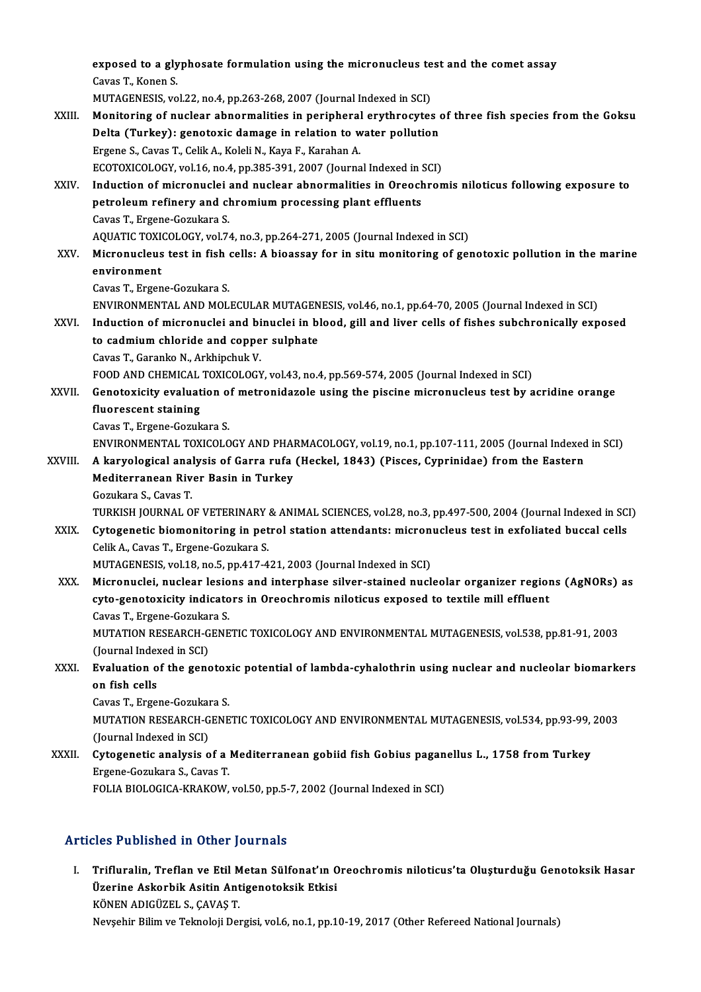exposed to a glyphosate formulation using the micronucleus test and the comet assay<br>Caves T, Kapen S exposed to a gly<br>Cavas T., Konen S.<br>MUTACENESIS vo exposed to a glyphosate formulation using the micronucleus te<br>Cavas T., Konen S.<br>MUTAGENESIS, vol.22, no.4, pp.263-268, 2007 (Journal Indexed in SCI)<br>Monitoring of nuclear chnormalities in norinharal eruthnorutes Cavas T., Konen S.<br>MUTAGENESIS, vol.22, no.4, pp.263-268, 2007 (Journal Indexed in SCI)<br>XXIII. Monitoring of nuclear abnormalities in peripheral erythrocytes of three fish species from the Goksu<br>Delte (Turkey): senetoris d MUTAGENESIS, vol.22, no.4, pp.263-268, 2007 (Journal Indexed in SCI)<br>Monitoring of nuclear abnormalities in peripheral erythrocytes of<br>Delta (Turkey): genotoxic damage in relation to water pollution<br>Fraane S. Gaues T. Coli Monitoring of nuclear abnormalities in peripheral<br>Delta (Turkey): genotoxic damage in relation to w<br>Ergene S., Cavas T., Celik A., Koleli N., Kaya F., Karahan A.<br>ECOTOVICOLOCY vel 16 no 4 nn 385 391 3007 (Journa Delta (Turkey): genotoxic damage in relation to water pollution<br>Ergene S., Cavas T., Celik A., Koleli N., Kaya F., Karahan A.<br>ECOTOXICOLOGY, vol.16, no.4, pp.385-391, 2007 (Journal Indexed in SCI)<br>Induction of misronuski a Ergene S., Cavas T., Celik A., Koleli N., Kaya F., Karahan A.<br>ECOTOXICOLOGY, vol.16, no.4, pp.385-391, 2007 (Journal Indexed in SCI)<br>XXIV. Induction of micronuclei and nuclear abnormalities in Oreochromis niloticus followi ECOTOXICOLOGY, vol.16, no.4, pp.385-391, 2007 (Journal Indexed in !<br>Induction of micronuclei and nuclear abnormalities in Oreoch<br>petroleum refinery and chromium processing plant effluents<br>Cause T. Ersone Cosultare S Induction of micronuclei<br>petroleum refinery and cl<br>Cavas T., Ergene-Gozukara S.<br>AOUATIC TOVICOLOCY vol 7 petroleum refinery and chromium processing plant effluents<br>Cavas T., Ergene-Gozukara S.<br>AQUATIC TOXICOLOGY, vol.74, no.3, pp.264-271, 2005 (Journal Indexed in SCI)<br>Micronuclaus test in fish solls: A biogeseu for in situ mo Cavas T., Ergene-Gozukara S.<br>AQUATIC TOXICOLOGY, vol.74, no.3, pp.264-271, 2005 (Journal Indexed in SCI)<br>XXV. Micronucleus test in fish cells: A bioassay for in situ monitoring of genotoxic pollution in the marine<br>environm AQUATIC TOXI<mark>)</mark><br>Micronucleus<br>environment<br>Caves T. Ersen CavasT.,Ergene-Gozukara S. environment<br>Cavas T., Ergene-Gozukara S.<br>ENVIRONMENTAL AND MOLECULAR MUTAGENESIS, vol.46, no.1, pp.64-70, 2005 (Journal Indexed in SCI)<br>Industion of misronuski and binuski in blood, sill and liver sells of fishes subshroni Cavas T., Ergene-Gozukara S.<br>ENVIRONMENTAL AND MOLECULAR MUTAGENESIS, vol.46, no.1, pp.64-70, 2005 (Journal Indexed in SCI)<br>XXVI. Induction of micronuclei and binuclei in blood, gill and liver cells of fishes subchronicall ENVIRONMENTAL AND MOLECULAR MUTAGEN<br>Induction of micronuclei and binuclei in b<br>to cadmium chloride and copper sulphate<br>Cause T. Causake N. Arkhinghul: V. Induction of micronuclei and bi<br>to cadmium chloride and coppe<br>Cavas T., Garanko N., Arkhipchuk V.<br>FOOD AND CHEMICAL TOVICOLOCY to cadmium chloride and copper sulphate<br>Cavas T., Garanko N., Arkhipchuk V.<br>FOOD AND CHEMICAL TOXICOLOGY, vol.43, no.4, pp.569-574, 2005 (Journal Indexed in SCI) Cavas T., Garanko N., Arkhipchuk V.<br>FOOD AND CHEMICAL TOXICOLOGY, vol.43, no.4, pp.569-574, 2005 (Journal Indexed in SCI)<br>XXVII. Genotoxicity evaluation of metronidazole using the piscine micronucleus test by acridine FOOD AND CHEMICAL<br>Genotoxicity evaluat<br>fluorescent staining<br>Cauas T. Ersene Carule **Genotoxicity evaluation o<br>fluorescent staining<br>Cavas T., Ergene-Gozukara S.<br>ENVIRONMENTAL TOYICOLO** fluorescent staining<br>Cavas T., Ergene-Gozukara S.<br>ENVIRONMENTAL TOXICOLOGY AND PHARMACOLOGY, vol.19, no.1, pp.107-111, 2005 (Journal Indexed in SCI)<br>A karvelagisel analysis of Garre rufe (Haskel, 1943) (Bisses, Cynrinidae) Cavas T., Ergene-Gozukara S.<br>ENVIRONMENTAL TOXICOLOGY AND PHARMACOLOGY, vol.19, no.1, pp.107-111, 2005 (Journal Indexed<br>XXVIII. A karyological analysis of Garra rufa (Heckel, 1843) (Pisces, Cyprinidae) from the Eastern ENVIRONMENTAL TOXICOLOGY AND PHAI<br>A karyological analysis of Garra rufa<br>Mediterranean River Basin in Turkey<br>Comulara S. Cauas T A karyological ana<br>Mediterranean Riv<br>Gozukara S., Cavas T.<br>TURKISH JOURNAL O Mediterranean River Basin in Turkey<br>Gozukara S., Cavas T.<br>TURKISH JOURNAL OF VETERINARY & ANIMAL SCIENCES, vol.28, no.3, pp.497-500, 2004 (Journal Indexed in SCI) Gozukara S., Cavas T.<br>TURKISH JOURNAL OF VETERINARY & ANIMAL SCIENCES, vol.28, no.3, pp.497-500, 2004 (Journal Indexed in SC.<br>XXIX. Cytogenetic biomonitoring in petrol station attendants: micronucleus test in exfoliated bu Celik A., Cavas T., Ergene-Gozukara S.<br>MUTAGENESIS, vol.18, no.5, pp.417-421, 2003 (Journal Indexed in SCI) Cytogenetic biomonitoring in petrol station attendants: micron<br>Celik A., Cavas T., Ergene-Gozukara S.<br>MUTAGENESIS, vol.18, no.5, pp.417-421, 2003 (Journal Indexed in SCI)<br>Micronualei, nuclear legions and internhese silver XXX. Micronuclei, nuclear lesions and interphase silver-stained nucleolar organizer regions (AgNORs) as MUTAGENESIS, vol.18, no.5, pp.417-421, 2003 (Journal Indexed in SCI)<br>Micronuclei, nuclear lesions and interphase silver-stained nucleolar organizer region<br>cyto-genotoxicity indicators in Oreochromis niloticus exposed to te Micronuclei, nuclear lesio<br>cyto-genotoxicity indicato<br>Cavas T., Ergene-Gozukara S.<br>MUTATION BESEARCH CENE MUTATION RESEARCH-GENETIC TOXICOLOGY AND ENVIRONMENTAL MUTAGENESIS, vol.538, pp.81-91, 2003<br>(Journal Indexed in SCI) Cavas T., Ergene-Gozukara S. MUTATION RESEARCH-GENETIC TOXICOLOGY AND ENVIRONMENTAL MUTAGENESIS, vol.538, pp.81-91, 2003<br>(Journal Indexed in SCI)<br>XXXI. Evaluation of the genotoxic potential of lambda-cyhalothrin using nuclear and nucleolar biomarkers<br> (Journal Index)<br>Evaluation o<br>on fish cells<br>Caves T. Erge Evaluation of the genotox<br>on fish cells<br>Cavas T., Ergene-Gozukara S.<br>MUTATION BESEARCH CENE on fish cells<br>Cavas T., Ergene-Gozukara S.<br>MUTATION RESEARCH-GENETIC TOXICOLOGY AND ENVIRONMENTAL MUTAGENESIS, vol.534, pp.93-99, 2003<br>(Journal Indexed in SCI) Cavas T., Ergene-Gozukara S. MUTATION RESEARCH-GENETIC TOXICOLOGY AND ENVIRONMENTAL MUTAGENESIS, vol.534, pp.93-99,<br>(Journal Indexed in SCI)<br>XXXII. Cytogenetic analysis of a Mediterranean gobiid fish Gobius paganellus L., 1758 from Turkey (Journal Indexed in SCI)<br>**Cytogenetic analysis of a** l<br>Ergene-Gozukara S., Cavas T.<br>FOLLA PIOLOCICA *V*PA*V*OW Ergene-Gozukara S., Cavas T.<br>FOLIA BIOLOGICA-KRAKOW, vol.50, pp.5-7, 2002 (Journal Indexed in SCI)

## Articles Published in Other Journals

rticles Published in Other Journals<br>I. Trifluralin, Treflan ve Etil Metan Sülfonat'ın Oreochromis niloticus'ta Oluşturduğu Genotoksik Hasar<br>Üserine Askarbik Asitin Antiseneteksik Etkisi Ites I dishshed in Sther journals<br>Trifluralin, Treflan ve Etil Metan Sülfonat'ın C<br>Üzerine Askorbik Asitin Antigenotoksik Etkisi Trifluralin, Treflan ve Etil M<br>Üzerine Askorbik Asitin Ant<br>KÖNEN ADIGÜZEL S.,ÇAVAŞ T.<br>Navçehir Bilim ve Talmalaji Dar Üzerine Askorbik Asitin Antigenotoksik Etkisi<br>KÖNEN ADIGÜZEL S., ÇAVAŞ T.<br>Nevşehir Bilim ve Teknoloji Dergisi, vol.6, no.1, pp.10-19, 2017 (Other Refereed National Journals)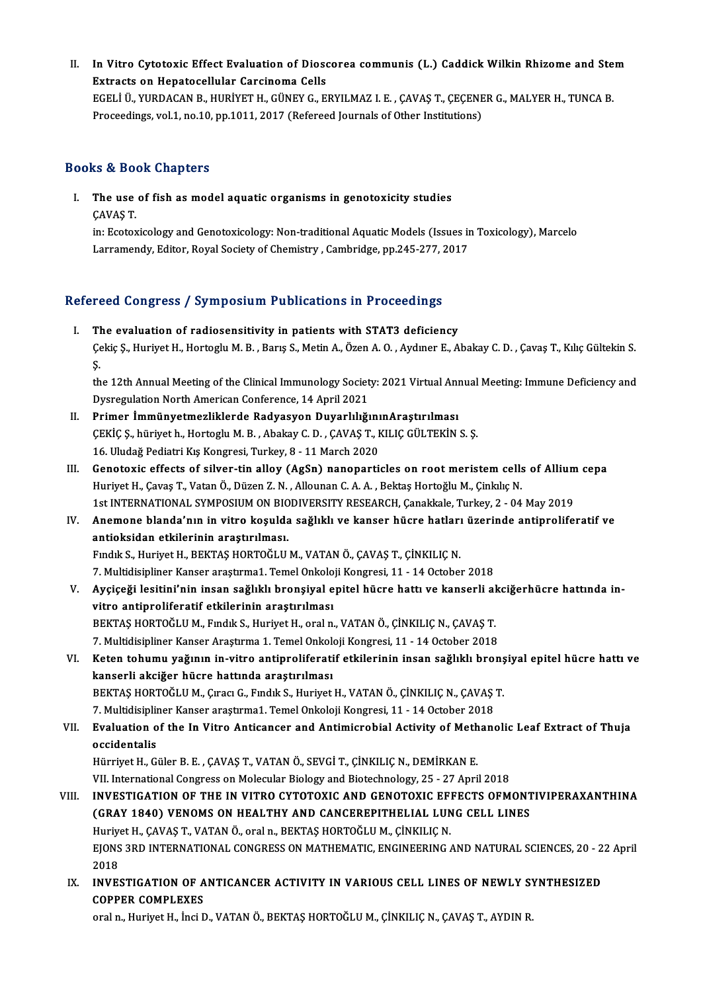II. In Vitro Cytotoxic Effect Evaluation of Dioscorea communis (L.) Caddick Wilkin Rhizome and Stem<br>Extracts on Hanatasellular Carsinama Calle In Vitro Cytotoxic Effect Evaluation of Dioso<br>Extracts on Hepatocellular Carcinoma Cells<br>ECELLÜ VUPDACAN P. HUPİVETH, CÜNEV C. E In Vitro Cytotoxic Effect Evaluation of Dioscorea communis (L.) Caddick Wilkin Rhizome and Ste<br>Extracts on Hepatocellular Carcinoma Cells<br>EGELİ Ü., YURDACAN B., HURİYET H., GÜNEY G., ERYILMAZ I. E. , ÇAVAŞ T., ÇEÇENER G., Extracts on Hepatocellular Carcinoma Cells<br>EGELİ Ü., YURDACAN B., HURİYET H., GÜNEY G., ERYILMAZ I. E. , ÇAVAŞ T., ÇEÇENER G., MALYER H., TUNCA B.<br>Proceedings, vol.1, no.10, pp.1011, 2017 (Refereed Journals of Other Instit

## Books&Book Chapters

ooks & Book Chapters<br>I. The use of fish as model aquatic organisms in genotoxicity studies<br>CAVAS T The use<br>CAVAŞ T.<br>in: Ecotov

in:Ecotoxicology andGenotoxicology:Non-traditionalAquaticModels (Issues inToxicology),Marcelo Larramendy, Editor, Royal Society of Chemistry, Cambridge, pp.245-277, 2017

# Larramendy, Editor, Royal Society of Chemistry , Cambridge, pp.245-277, 2<br>Refereed Congress / Symposium Publications in Proceedings

efereed Congress / Symposium Publications in Proceedings<br>I. The evaluation of radiosensitivity in patients with STAT3 deficiency<br>Colsie S. Huriyet H. Hortegly M. B. Barre S. Metin A. Özen A. O. Aydunor E. A. I. The evaluation of radiosensitivity in patients with STAT3 deficiency<br>Çekiç Ş., Huriyet H., Hortoglu M. B. , Barış S., Metin A., Özen A. O. , Aydıner E., Abakay C. D. , Çavaş T., Kılıç Gültekin S.<br>S. TI<br>Çe<br>th Çekiç Ş., Huriyet H., Hortoglu M. B. , Barış S., Metin A., Özen A. O. , Aydıner E., Abakay C. D. , Çavaş T., Kılıç Gültekin S.<br>Ş.<br>the 12th Annual Meeting of the Clinical Immunology Society: 2021 Virtual Annual Meeting: Imm

Ş.<br>the 12th Annual Meeting of the Clinical Immunology Societ<br>Dysregulation North American Conference, 14 April 2021<br>Primer İmmünyetmerliklerde Padyasyon Duyarlılığı the 12th Annual Meeting of the Clinical Immunology Society: 2021 Virtual Ann<br>Dysregulation North American Conference, 14 April 2021<br>II. Primer İmmünyetmezliklerde Radyasyon DuyarlılığınınAraştırılması<br>CEVİC S. bürüyet b. H

- Dysregulation North American Conference, 14 April 2021<br>Primer İmmünyetmezliklerde Radyasyon Duyarlılığının Araştırılması<br>ÇEKİÇ Ş., hüriyet h., Hortoglu M. B. , Abakay C. D. , ÇAVAŞ T., KILIÇ GÜLTEKİN S. Ş.<br>16. Uludağ Pedia Primer İmmünyetmezliklerde Radyasyon Duyarlılığını<br>ÇEKİÇ Ş., hüriyet h., Hortoglu M. B. , Abakay C. D. , ÇAVAŞ T., I<br>16. Uludağ Pediatri Kış Kongresi, Turkey, 8 - 11 March 2020<br>Constavis effests of silver tin allay (AsSp)
- CEKİÇ Ş., hüriyet h., Hortoglu M. B. , Abakay C. D. , CAVAŞ T., KILIÇ GÜLTEKİN S. Ş.<br>16. Uludağ Pediatri Kış Kongresi, Turkey, 8 11 March 2020<br>III. Genotoxic effects of silver-tin alloy (AgSn) nanoparticles on root meris 16. Uludağ Pediatri Kış Kongresi, Turkey, 8 - 11 March 2020<br>Genotoxic effects of silver-tin alloy (AgSn) nanoparticles on root meristem cells<br>Huriyet H., Çavaş T., Vatan Ö., Düzen Z. N. , Allounan C. A. A. , Bektaş Hortoğl Genotoxic effects of silver-tin alloy (AgSn) nanoparticles on root meristem cells of Allium<br>Huriyet H., Çavaş T., Vatan Ö., Düzen Z. N. , Allounan C. A. A. , Bektaş Hortoğlu M., Çinkılıç N.<br>1st INTERNATIONAL SYMPOSIUM ON B Huriyet H., Çavaş T., Vatan Ö., Düzen Z. N. , Allounan C. A. A. , Bektaş Hortoğlu M., Çinkılıç N.<br>1st INTERNATIONAL SYMPOSIUM ON BIODIVERSITY RESEARCH, Çanakkale, Turkey, 2 - 04 May 2019<br>IV. Anemone blanda'nın in vitro
- 1st INTERNATIONAL SYMPOSIUM ON BIO<br>Anemone blanda'nın in vitro koşulda<br>antioksidan etkilerinin araştırılması.<br>Endik S. Huriyat H. BEKTAS HOBTOĞLU Anemone blanda'nın in vitro koşulda sağlıklı ve kanser hücre hatları<br>antioksidan etkilerinin araştırılması.<br>Fındık S., Huriyet H., BEKTAŞ HORTOĞLU M., VATAN Ö., ÇAVAŞ T., ÇİNKILIÇ N.<br>7. Multidiginliner Kanser arastrıma1. T antioksidan etkilerinin araştırılması.<br>Fındık S., Huriyet H., BEKTAŞ HORTOĞLU M., VATAN Ö., ÇAVAŞ T., ÇİNKILIÇ N.<br>7. Multidisipliner Kanser araştırma1. Temel Onkoloji Kongresi, 11 - 14 October 2018<br>Avgiseği leşitini'nin in

- Fındık S., Huriyet H., BEKTAŞ HORTOĞLU M., VATAN Ö., ÇAVAŞ T., ÇİNKILIÇ N.<br>7. Multidisipliner Kanser araştırma1. Temel Onkoloji Kongresi, 11 14 October 2018<br>7. Ayçiçeği lesitini'nin insan sağlıklı bronşiyal epitel hücre 7. Multidisipliner Kanser araştırma1. Temel Onkolo<br>Ayçiçeği lesitini'nin insan sağlıklı bronşiyal e<br>vitro antiproliferatif etkilerinin araştırılması<br>BEKTAS HOPTOČLUM, Endik S. Huriyat H. eral n Ayçiçeği lesitini'nin insan sağlıklı bronşiyal epitel hücre hattı ve kanserli al<br>vitro antiproliferatif etkilerinin araştırılması<br>BEKTAŞ HORTOĞLU M., Fındık S., Huriyet H., oral n., VATAN Ö., ÇİNKILIÇ N., ÇAVAŞ T.<br>7. Multi vitro antiproliferatif etkilerinin araştırılması<br>BEKTAŞ HORTOĞLU M., Fındık S., Huriyet H., oral n., VATAN Ö., ÇİNKILIÇ N., ÇAVAŞ T.<br>7. Multidisipliner Kanser Araştırma 1. Temel Onkoloji Kongresi, 11 - 14 October 2018<br>Kata BEKTAŞ HORTOĞLU M., Fındık S., Huriyet H., oral n., VATAN Ö., ÇİNKILIÇ N., ÇAVAŞ T.<br>7. Multidisipliner Kanser Araştırma 1. Temel Onkoloji Kongresi, 11 - 14 October 2018<br>VI. Keten tohumu yağının in-vitro antiproliferatif et
- 7. Multidisipliner Kanser Araştırma 1. Temel Onkolo<br>Keten tohumu yağının in-vitro antiproliferati<br>kanserli akciğer hücre hattında araştırılması<br>PEKTAS HOPTOČLUM, Cuası C. Eundik S. Huriyat Keten tohumu yağının in-vitro antiproliferatif etkilerinin insan sağlıklı bronş<br>kanserli akciğer hücre hattında araştırılması<br>BEKTAŞ HORTOĞLU M., Çıracı G., Fındık S., Huriyet H., VATAN Ö., ÇİNKILIÇ N., ÇAVAŞ T.<br>7. Multidi kanserli akciğer hücre hattında araştırılması<br>BEKTAŞ HORTOĞLU M., Çıracı G., Fındık S., Huriyet H., VATAN Ö., ÇİNKILIÇ N., ÇAVAŞ T.<br>7. Multidisipliner Kanser araştırma1. Temel Onkoloji Kongresi, 11 - 14 October 2018 BEKTAŞ HORTOĞLU M., Çıracı G., Fındık S., Huriyet H., VATAN Ö., ÇİNKILIÇ N., ÇAVAŞ T.<br>7. Multidisipliner Kanser araştırma1. Temel Onkoloji Kongresi, 11 - 14 October 2018<br>VII. Evaluation of the In Vitro Anticancer and A

# 7. Multidisiplii<br>Evaluation o<br>occidentalis<br>Hümiyet H. C Evaluation of the In Vitro Anticancer and Antimicrobial Activity of Meth<br>occidentalis<br>Hürriyet H., Güler B. E. , ÇAVAŞ T., VATAN Ö., SEVGİ T., ÇİNKILIÇ N., DEMİRKAN E.<br>VII. International Congress on Mologylar Biology and B

occidentalis<br>Hürriyet H., Güler B. E. , ÇAVAŞ T., VATAN Ö., SEVGİ T., ÇİNKILIÇ N., DEMİRKAN E.<br>VII. International Congress on Molecular Biology and Biotechnology, 25 - 27 April 2018

## VIII. INVESTIGATION OF THE IN VITRO CYTOTOXIC AND GENOTOXIC EFFECTS OFMONTIVIPERAXANTHINA (GRAY 1840) VENOMS ON HEALTHY AND CANCEREPITHELIAL LUNG CELL LINES INVESTIGATION OF THE IN VITRO CYTOTOXIC AND GENOTOXIC EFI<br>(GRAY 1840) VENOMS ON HEALTHY AND CANCEREPITHELIAL LUN<br>Huriyet H., ÇAVAŞ T., VATAN Ö., oraln., BEKTAŞ HORTOĞLU M., ÇİNKILIÇ N.<br>FIONS 2PD INTERNATIONAL CONCRESS ON M EJONS 3RD INTERNATIONAL CONGRESS ON MATHEMATIC, ENGINEERING AND NATURAL SCIENCES, 20 - 22 April<br>2018 Huriye<br>EJONS<br>2018<br>INVES EJONS 3RD INTERNATIONAL CONGRESS ON MATHEMATIC, ENGINEERING AND NATURAL SCIENCES, 20 - 2<br>2018<br>IX. INVESTIGATION OF ANTICANCER ACTIVITY IN VARIOUS CELL LINES OF NEWLY SYNTHESIZED

2018<br>INVESTIGATION OF A<br>COPPER COMPLEXES<br>araln\_Huriyat H\_ingi E INVESTIGATION OF ANTICANCER ACTIVITY IN VARIOUS CELL LINES OF NEWLY S'<br>COPPER COMPLEXES<br>oral n., Huriyet H., İnci D., VATAN Ö., BEKTAŞ HORTOĞLU M., ÇİNKILIÇ N., ÇAVAŞ T., AYDIN R.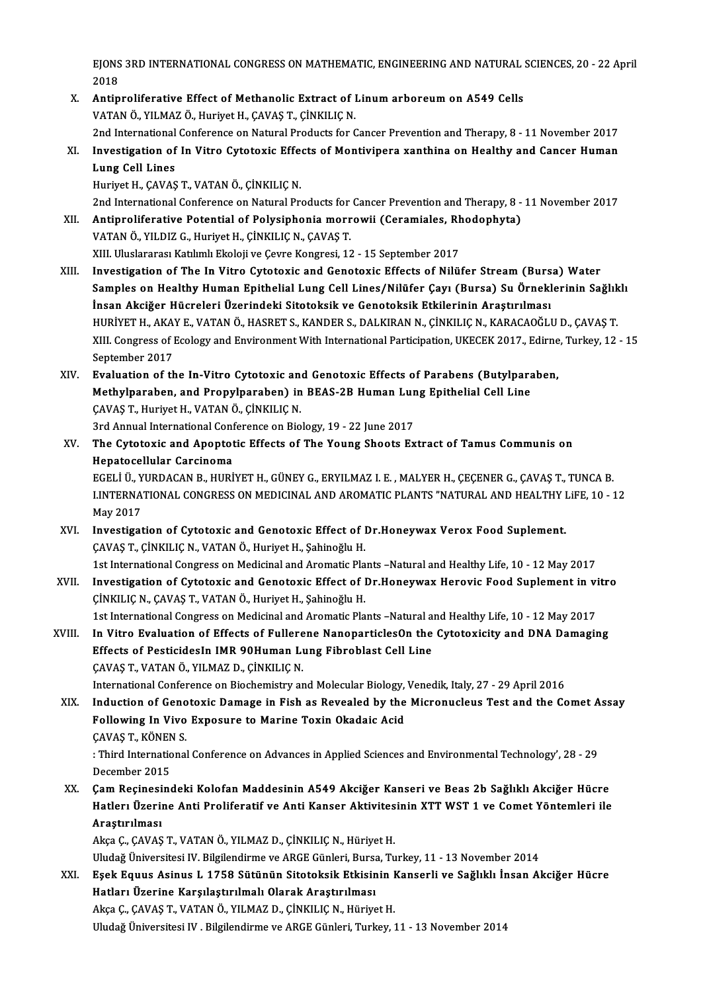.<br>EJONS 3RD INTERNATIONAL CONGRESS ON MATHEMATIC, ENGINEERING AND NATURAL SCIENCES, 20 - 22 April  $E$ JONS<br>2018 EJONS 3RD INTERNATIONAL CONGRESS ON MATHEMATIC, ENGINEERING AND NATURAL 3<br>2018<br>X. Antiproliferative Effect of Methanolic Extract of Linum arboreum on A549 Cells<br>VATAN Ö. VUMAZ Ö. Huriyet H. CAVAS T. CİNKU IC N

- 2018<br>X. Antiproliferative Effect of Methanolic Extract of Linum arboreum on A549 Cells<br>VATAN Ö., YILMAZ Ö., Huriyet H., ÇAVAŞ T., ÇİNKILIÇ N. Antiproliferative Effect of Methanolic Extract of Linum arboreum on A549 Cells<br>VATAN Ö., YILMAZ Ö., Huriyet H., ÇAVAŞ T., ÇİNKILIÇ N.<br>2nd International Conference on Natural Products for Cancer Prevention and Therapy, 8 -
- VATAN Ö., YILMAZ Ö., Huriyet H., ÇAVAŞ T., ÇİNKILIÇ N.<br>2nd International Conference on Natural Products for Cancer Prevention and Therapy, 8 11 November 2017<br>XI. Investigation of In Vitro Cytotoxic Effects of Montivi 2nd International<br>Investigation of<br>Lung Cell Lines<br>Hurivet H. CAVAS Investigation of In Vitro Cytotoxic Effe<br>Lung Cell Lines<br>Huriyet H., ÇAVAŞ T., VATAN Ö., ÇİNKILIÇ N.<br>2nd International Conference en Natural Pr. Lung Cell Lines<br>1997 - Huriyet H., ÇAVAŞ T., VATAN Ö., ÇİNKILIÇ N.<br>2nd International Conference on Natural Products for Cancer Prevention and Therapy, 8 - 11 November 2017 Huriyet H., ÇAVAŞ T., VATAN Ö., ÇİNKILIÇ N.<br>2nd International Conference on Natural Products for Cancer Prevention and Therapy, 8 -<br>XII. Antiproliferative Potential of Polysiphonia morrowii (Ceramiales, Rhodophyta)<br>VAT

2nd International Conference on Natural Products for<br>**Antiproliferative Potential of Polysiphonia morr**<br>VATAN Ö., YILDIZ G., Huriyet H., ÇİNKILIÇ N., ÇAVAŞ T.<br>YIL Uluqlararası Katılımlı Ekoloji*ve Coure Konstesi*, 13 Antiproliferative Potential of Polysiphonia morrowii (Ceramiales, Rh<br>VATAN Ö., YILDIZ G., Huriyet H., ÇİNKILIÇ N., ÇAVAŞ T.<br>XIII. Uluslararası Katılımlı Ekoloji ve Çevre Kongresi, 12 - 15 September 2017<br>Investigation of Th VATAN Ö., YILDIZ G., Huriyet H., ÇİNKILIÇ N., ÇAVAŞ T.<br>XIII. Uluslararası Katılımlı Ekoloji ve Çevre Kongresi, 12 - 15 September 2017<br>XIII. Investigation of The In Vitro Cytotoxic and Genotoxic Effects of Nilüfer Strea

- XIII. Uluslararası Katılımlı Ekoloji ve Çevre Kongresi, 12 15 September 2017<br>Investigation of The In Vitro Cytotoxic and Genotoxic Effects of Nilüfer Stream (Bursa) Water<br>Samples on Healthy Human Epithelial Lung Cell Lin Investigation of The In Vitro Cytotoxic and Genotoxic Effects of Nilüfer Stream (Burs<br>Samples on Healthy Human Epithelial Lung Cell Lines/Nilüfer Çayı (Bursa) Su Örnekl<br>İnsan Akciğer Hücreleri Üzerindeki Sitotoksik ve Geno Samples on Healthy Human Epithelial Lung Cell Lines/Nilüfer Çayı (Bursa) Su Örneklerinin Sağlık<br>İnsan Akciğer Hücreleri Üzerindeki Sitotoksik ve Genotoksik Etkilerinin Araştırılması<br>HURİYET H., AKAY E., VATAN Ö., HASRET S. İnsan Akciğer Hücreleri Üzerindeki Sitotoksik ve Genotoksik Etkilerinin Araştırılması<br>HURİYET H., AKAY E., VATAN Ö., HASRET S., KANDER S., DALKIRAN N., ÇİNKILIÇ N., KARACAOĞLU D., ÇAVAŞ T.<br>XIII. Congress of Ecology and Env HURİYET H., AKA'<br>XIII. Congress of I<br>September 2017<br>Evaluation of th XIII. Congress of Ecology and Environment With International Participation, UKECEK 2017., Edirne, Turkey, 12 - 15<br>September 2017<br>XIV. Evaluation of the In-Vitro Cytotoxic and Genotoxic Effects of Parabens (Butylparaben,
- September 2017<br>Evaluation of the In-Vitro Cytotoxic and Genotoxic Effects of Parabens (Butylpara<br>Methylparaben, and Propylparaben) in BEAS-2B Human Lung Epithelial Cell Line<br>CAVAS T. Hurivet H. VATAN Ö. CINKU IC N Evaluation of the In-Vitro Cytotoxic an<br>Methylparaben, and Propylparaben) in<br>ÇAVAŞ T., Huriyet H., VATAN Ö., ÇİNKILIÇ N.<br>2rd Annual International Conference en Bio Methylparaben, and Propylparaben) in BEAS-2B Human Lur<br>ÇAVAŞ T., Huriyet H., VATAN Ö., ÇİNKILIÇ N.<br>3rd Annual International Conference on Biology, 19 - 22 June 2017<br>The Cytetevis and Apentatis Effests of The Young Sheets E

CAVAŞ T., Huriyet H., VATAN Ö., ÇİNKILIÇ N.<br>3rd Annual International Conference on Biology, 19 - 22 June 2017<br>XV. The Cytotoxic and Apoptotic Effects of The Young Shoots Extract of Tamus Communis on<br>Hanatocellular Carg **3rd Annual International Conf**<br>The Cytotoxic and Apoptot<br>Hepatocellular Carcinoma<br>FCELLÜ VUPDACAN P. HUPI The Cytotoxic and Apoptotic Effects of The Young Shoots Extract of Tamus Communis on<br>Hepatocellular Carcinoma<br>EGELİ Ü., YURDACAN B., HURİYET H., GÜNEY G., ERYILMAZ I. E. , MALYER H., ÇEÇENER G., ÇAVAŞ T., TUNCA B.<br>LINTERNA

Hepatocellular Carcinoma<br>EGELİ Ü., YURDACAN B., HURİYET H., GÜNEY G., ERYILMAZ I. E. , MALYER H., ÇEÇENER G., ÇAVAŞ T., TUNCA B.<br>LINTERNATIONAL CONGRESS ON MEDICINAL AND AROMATIC PLANTS "NATURAL AND HEALTHY LiFE, 10 - 12<br>M EGELİ Ü., Y<br>LINTERNA<br>May 2017<br>Investiset XVI. INTERNATIONAL CONGRESS ON MEDICINAL AND AROMATIC PLANTS "NATURAL AND HEALTHY LiFE, 10 - 12<br>May 2017<br>XVI. Investigation of Cytotoxic and Genotoxic Effect of Dr.Honeywax Verox Food Suplement.

- ÇAVAŞ T., ÇİNKILIÇ N., VATAN Ö., Huriyet H., Şahinoğlu H. 1st International Congress on Medicinal and Aromatic Plants –Natural and Healthy Life, 10 - 12 May 2017
- XVII. Investigation of Cytotoxic and Genotoxic Effect of Dr.Honeywax Herovic Food Suplement in vitro ÇİNKILIÇ N., ÇAVAŞ T., VATAN Ö., Huriyet H., Şahinoğlu H. 1st International Congress on Medicinal and Aromatic Plants –Natural and Healthy Life, 10 - 12 May 2017
- CINKILIC N., CAVAS T., VATAN Ö., Huriyet H., Sahinoğlu H.<br>1st International Congress on Medicinal and Aromatic Plants –Natural and Healthy Life, 10 12 May 2017<br>XVIII. In Vitro Evaluation of Effects of Fullerene Nanoparti 1st International Congress on Medicinal and Aromatic Plants –Natural and Vitro Evaluation of Effects of Fullerene NanoparticlesOn the<br>Effects of PesticidesIn IMR 90Human Lung Fibroblast Cell Line<br>CAVAS T, VATANÖ, VU MAZ D, In Vitro Evaluation of Effects of Fullere<br>Effects of PesticidesIn IMR 90Human Lu<br>ÇAVAŞ T., VATAN Ö., YILMAZ D., ÇİNKILIÇ N.<br>International Conference on Biochamistru er Effects of PesticidesIn IMR 90Human Lung Fibroblast Cell Line<br>CAVAŞ T., VATAN Ö., YILMAZ D., ÇİNKILIÇ N.<br>International Conference on Biochemistry and Molecular Biology, Venedik, Italy, 27 - 29 April 2016

CAVAS T., VATAN Ö., YILMAZ D., ÇİNKILIÇ N.<br>International Conference on Biochemistry and Molecular Biology, Venedik, Italy, 27 - 29 April 2016<br>XIX. Induction of Genotoxic Damage in Fish as Revealed by the Micronucleus T International Conference on Biochemistry and Molecular Biology,<br>Induction of Genotoxic Damage in Fish as Revealed by the<br>Following In Vivo Exposure to Marine Toxin Okadaic Acid<br>CAVAS T, KÖNEN S Induction of Geno<br>Following In Vivo<br>ÇAVAŞ T., KÖNEN S.<br>. Third International Following In Vivo Exposure to Marine Toxin Okadaic Acid<br>ÇAVAŞ T., KÖNEN S.<br>: Third International Conference on Advances in Applied Sciences and Environmental Technology', 28 - 29<br>Desember 2015

CAVAŞ T., KÖNEN<br>: Third Internation<br>December 2015<br>Cam Pesinasins XX. Çam Reçinesindeki Kolofan Maddesinin A549 Akciğer Kanseri ve Beas 2b Sağlıklı Akciğer Hücre:<br>XX. Çam Reçinesindeki Kolofan Maddesinin A549 Akciğer Kanseri ve Beas 2b Sağlıklı Akciğer Hücre<br>Hetler: Üserine Anti Prelifer

December 2015<br>Çam Reçinesindeki Kolofan Maddesinin A549 Akciğer Kanseri ve Beas 2b Sağlıklı Akciğer Hücre<br>Hatlerı Üzerine Anti Proliferatif ve Anti Kanser Aktivitesinin XTT WST 1 ve Comet Yöntemleri ile<br>Arastırılması Çam Reçinesi<br>Hatlerı Üzeril<br>Araştırılması<br>Aksa C. CAVAS

Akça Ç., ÇAVAŞ T., VATAN Ö., YILMAZ D., ÇİNKILIÇ N., Hüriyet H. UludağÜniversitesi IV.Bilgilendirme veARGEGünleri,Bursa,Turkey,11 -13November 2014

Akça Ç., ÇAVAŞ T., VATAN Ö., YILMAZ D., ÇİNKILIÇ N., Hüriyet H.<br>Uludağ Üniversitesi IV. Bilgilendirme ve ARGE Günleri, Bursa, Turkey, 11 - 13 November 2014<br>XXI. Eşek Equus Asinus L 1758 Sütünün Sitotoksik Etkisinin Kan Uludağ Üniversitesi IV. Bilgilendirme ve ARGE Günleri, Bursa<br>Eşek Equus Asinus L 1758 Sütünün Sitotoksik Etkisin<br>Hatları Üzerine Karşılaştırılmalı Olarak Araştırılması<br>Akas G GAVAS T VATAN Ö .YU MAZ D. GİNEU IC N. Hüniye Eşek Equus Asinus L 1758 Sütünün Sitotoksik Etkisinin I<br>Hatları Üzerine Karşılaştırılmalı Olarak Araştırılması<br>Akça Ç., ÇAVAŞ T., VATAN Ö., YILMAZ D., ÇİNKILIÇ N., Hüriyet H.<br>Uludağ Üniversitesi IV., Bilgilandirme ve ABCE Hatları Üzerine Karşılaştırılmalı Olarak Araştırılması<br>Akça Ç., ÇAVAŞ T., VATAN Ö., YILMAZ D., ÇİNKILIÇ N., Hüriyet H.<br>Uludağ Üniversitesi IV . Bilgilendirme ve ARGE Günleri, Turkey, 11 - 13 November 2014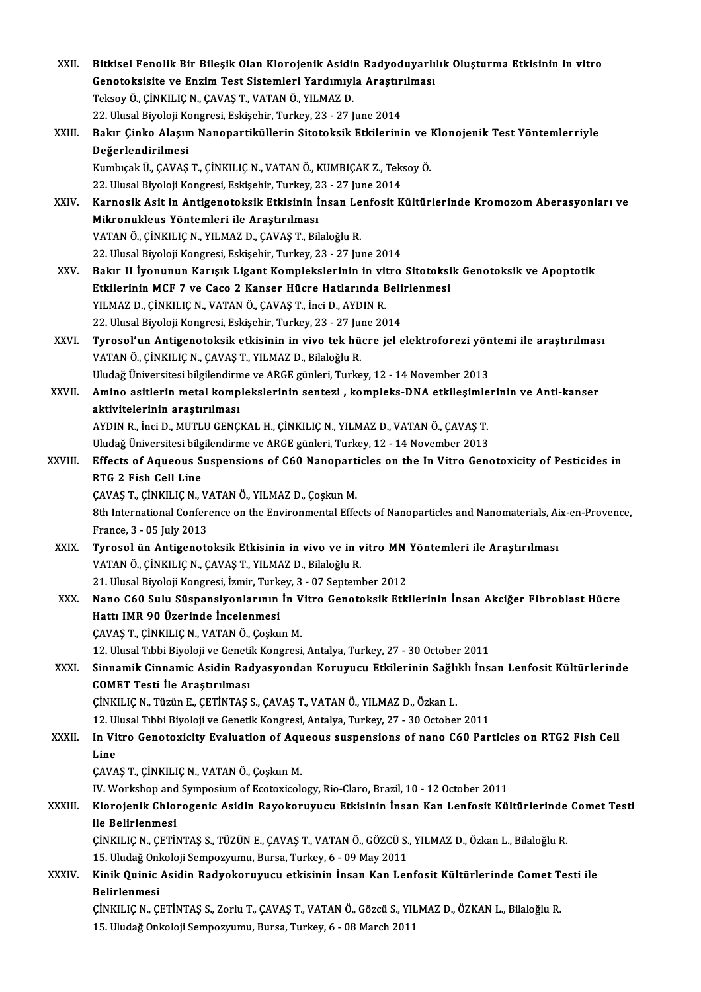| XXII.        | Bitkisel Fenolik Bir Bileşik Olan Klorojenik Asidin Radyoduyarlılık Oluşturma Etkisinin in vitro               |
|--------------|----------------------------------------------------------------------------------------------------------------|
|              | Genotoksisite ve Enzim Test Sistemleri Yardımıyla Araştırılması                                                |
|              | Teksoy Ö., ÇİNKILIÇ N., ÇAVAŞ T., VATAN Ö., YILMAZ D.                                                          |
|              | 22. Ulusal Biyoloji Kongresi, Eskişehir, Turkey, 23 - 27 June 2014                                             |
| XXIII.       | Bakır Çinko Alaşım Nanopartiküllerin Sitotoksik Etkilerinin ve Klonojenik Test Yöntemlerriyle                  |
|              | Değerlendirilmesi                                                                                              |
|              | Kumbıçak Ü., ÇAVAŞ T., ÇİNKILIÇ N., VATAN Ö., KUMBIÇAK Z., Teksoy Ö.                                           |
|              | 22. Ulusal Biyoloji Kongresi, Eskişehir, Turkey, 23 - 27 June 2014                                             |
| XXIV.        | Karnosik Asit in Antigenotoksik Etkisinin İnsan Lenfosit Kültürlerinde Kromozom Aberasyonları ve               |
|              | Mikronukleus Yöntemleri ile Araştırılması                                                                      |
|              | VATAN Ö., ÇİNKILIÇ N., YILMAZ D., ÇAVAŞ T., Bilaloğlu R.                                                       |
|              | 22. Ulusal Biyoloji Kongresi, Eskişehir, Turkey, 23 - 27 June 2014                                             |
| XXV          | Bakır II İyonunun Karışık Ligant Komplekslerinin in vitro Sitotoksik Genotoksik ve Apoptotik                   |
|              | Etkilerinin MCF 7 ve Caco 2 Kanser Hücre Hatlarında Belirlenmesi                                               |
|              | YILMAZ D., ÇİNKILIÇ N., VATAN Ö., ÇAVAŞ T., İnci D., AYDIN R.                                                  |
|              | 22. Ulusal Biyoloji Kongresi, Eskişehir, Turkey, 23 - 27 June 2014                                             |
| XXVI.        | Tyrosol'un Antigenotoksik etkisinin in vivo tek hücre jel elektroforezi yöntemi ile araştırılması              |
|              | VATAN Ö., ÇİNKILIÇ N., ÇAVAŞ T., YILMAZ D., Bilaloğlu R.                                                       |
|              | Uludağ Üniversitesi bilgilendirme ve ARGE günleri, Turkey, 12 - 14 November 2013                               |
| XXVII.       | Amino asitlerin metal komplekslerinin sentezi, kompleks-DNA etkileşimlerinin ve Anti-kanser                    |
|              | aktivitelerinin araştırılması                                                                                  |
|              | AYDIN R., İnci D., MUTLU GENÇKAL H., ÇİNKILIÇ N., YILMAZ D., VATAN Ö., ÇAVAŞ T.                                |
|              | Uludağ Üniversitesi bilgilendirme ve ARGE günleri, Turkey, 12 - 14 November 2013                               |
| XXVIII.      | Effects of Aqueous Suspensions of C60 Nanoparticles on the In Vitro Genotoxicity of Pesticides in              |
|              | RTG 2 Fish Cell Line                                                                                           |
|              | ÇAVAŞ T., ÇİNKILIÇ N., VATAN Ö., YILMAZ D., Çoşkun M.                                                          |
|              | 8th International Conference on the Environmental Effects of Nanoparticles and Nanomaterials, Aix-en-Provence, |
|              | France, 3 - 05 July 2013                                                                                       |
| XXIX.        | Tyrosol ün Antigenotoksik Etkisinin in vivo ve in vitro MN Yöntemleri ile Araştırılması                        |
|              | VATAN Ö., ÇİNKILIÇ N., ÇAVAŞ T., YILMAZ D., Bilaloğlu R.                                                       |
|              | 21. Ulusal Biyoloji Kongresi, İzmir, Turkey, 3 - 07 September 2012                                             |
| XXX.         | Nano C60 Sulu Süspansiyonlarının İn Vitro Genotoksik Etkilerinin İnsan Akciğer Fibroblast Hücre                |
|              | Hattı IMR 90 Üzerinde İncelenmesi                                                                              |
|              | ÇAVAŞ T., ÇİNKILIÇ N., VATAN Ö., Çoşkun M.                                                                     |
|              | 12. Ulusal Tıbbi Biyoloji ve Genetik Kongresi, Antalya, Turkey, 27 - 30 October 2011                           |
| XXXI.        | Sinnamik Cinnamic Asidin Radyasyondan Koruyucu Etkilerinin Sağlıklı İnsan Lenfosit Kültürlerinde               |
|              | <b>COMET Testi İle Araştırılması</b>                                                                           |
|              | ÇİNKILIÇ N., Tüzün E., ÇETİNTAŞ S., ÇAVAŞ T., VATAN Ö., YILMAZ D., Özkan L.                                    |
|              | 12. Ulusal Tıbbi Biyoloji ve Genetik Kongresi, Antalya, Turkey, 27 - 30 October 2011                           |
| <b>XXXII</b> | In Vitro Genotoxicity Evaluation of Aqueous suspensions of nano C60 Particles on RTG2 Fish Cell                |
|              | Line                                                                                                           |
|              | ÇAVAŞ T., ÇİNKILIÇ N., VATAN Ö., Çoşkun M.                                                                     |
|              | IV. Workshop and Symposium of Ecotoxicology, Rio-Claro, Brazil, 10 - 12 October 2011                           |
| XXXIII.      | Klorojenik Chlorogenic Asidin Rayokoruyucu Etkisinin İnsan Kan Lenfosit Kültürlerinde Comet Testi              |
|              | ile Belirlenmesi                                                                                               |
|              | ÇİNKILIÇ N., ÇETİNTAŞ S., TÜZÜN E., ÇAVAŞ T., VATAN Ö., GÖZCÜ S., YILMAZ D., Özkan L., Bilaloğlu R.            |
|              | 15. Uludağ Onkoloji Sempozyumu, Bursa, Turkey, 6 - 09 May 2011                                                 |
| XXXIV.       | Kinik Quinic Asidin Radyokoruyucu etkisinin İnsan Kan Lenfosit Kültürlerinde Comet Testi ile                   |
|              | Belirlenmesi                                                                                                   |
|              | ÇİNKILIÇ N., ÇETİNTAŞ S., Zorlu T., ÇAVAŞ T., VATAN Ö., Gözcü S., YILMAZ D., ÖZKAN L., Bilaloğlu R.            |
|              | 15. Uludağ Onkoloji Sempozyumu, Bursa, Turkey, 6 - 08 March 2011                                               |
|              |                                                                                                                |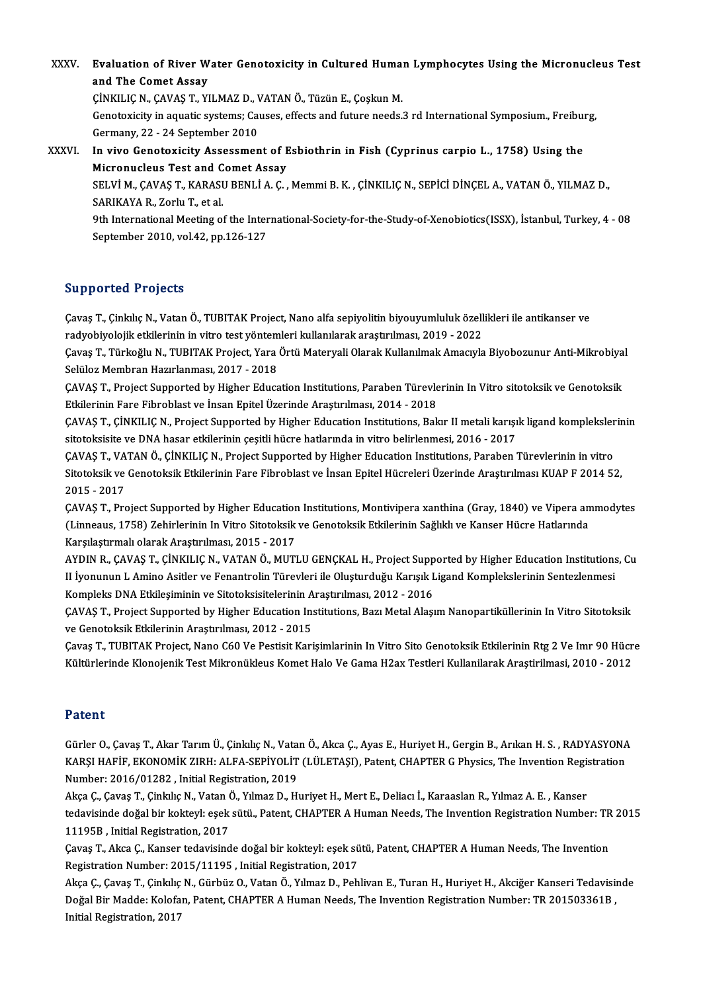XXXV. Evaluation of River Water Genotoxicity in Cultured Human Lymphocytes Using the Micronucleus Test<br>and The Comet Assey Evaluation of River W<br>and The Comet Assay<br>C<sup>INVILIC N. CAVAS T. VI</sup> Evaluation of River Water Genotoxicity in Cultured Huma:<br>and The Comet Assay<br>ÇİNKILIÇ N., ÇAVAŞ T., YILMAZ D., VATAN Ö., Tüzün E., Çoşkun M.<br>Constavisity in aquatis systemsu Causes, effects and future needs i

and The Comet Assay<br>CiNKILIC N., CAVAS T., YILMAZ D., VATAN Ö., Tüzün E., Coşkun M.<br>Genotoxicity in aquatic systems; Causes, effects and future needs.3 rd International Symposium., Freiburg,<br>Germany, 22 - 24 September 2010 CINKILIC N., CAVAS T., YILMAZ D., V.<br>Genotoxicity in aquatic systems; Car<br>Germany, 22 - 24 September 2010<br>In vive Conotoxicity Assossmon Genotoxicity in aquatic systems; Causes, effects and future needs.3 rd International Symposium., Freibur<br>Germany, 22 - 24 September 2010<br>XXXVI. In vivo Genotoxicity Assessment of Esbiothrin in Fish (Cyprinus carpio L., 175

Germany, 22 - 24 September 2010<br>In vivo Genotoxicity Assessment of F<br>Micronucleus Test and Comet Assay<br>SELVIM CAVAS T. KARASU RENLIA C In vivo Genotoxicity Assessment of Esbiothrin in Fish (Cyprinus carpio L., 1758) Using the<br>Micronucleus Test and Comet Assay<br>SELVİ M., ÇAVAŞ T., KARASU BENLİ A. Ç. , Memmi B. K. , ÇİNKILIÇ N., SEPİCİ DİNÇEL A., VATAN Ö., Y Micronucleus Test and Comet Assay<br>SELVİ M., ÇAVAŞ T., KARASU BENLİ A. Ç. , Memmi B. K. , ÇİNKILIÇ N., SEPİCİ DİNÇEL A., VATAN Ö., YILMAZ D.,<br>SARIKAYA R., Zorlu T., et al.

SELVİ M., ÇAVAŞ T., KARASU BENLİ A. Ç. , Memmi B. K. , ÇİNKILIÇ N., SEPİCİ DİNÇEL A., VATAN Ö., YILMAZ D.,<br>SARIKAYA R., Zorlu T., et al.<br>9th International Meeting of the International-Society-for-the-Study-of-Xenobiotics(I SARIKAYA R., Zorlu T., et al.<br>9th International Meeting of the Inter<br>September 2010, vol.42, pp.126-127 September 2010, vol.42, pp.126-127 ${\large\rm Suppported\ Projects}$ 

Supported Projects<br>Çavaş T., Çinkılıç N., Vatan Ö., TUBITAK Project, Nano alfa sepiyolitin biyouyumluluk özellikleri ile antikanser ve<br>redvehiyeleijk etkilerinin in vitre test vöntemleri kullenılerek erestmimesu 2019, 2022 ra pporteur i rejects<br>Çavaş T., Çinkılıç N., Vatan Ö., TUBITAK Project, Nano alfa sepiyolitin biyouyumluluk özell<br>radyobiyolojik etkilerinin in vitro test yöntemleri kullanılarak araştırılması, 2019 - 2022<br>Cavaş T. Türkeğl Çavaş T., Çinkılıç N., Vatan Ö., TUBITAK Project, Nano alfa sepiyolitin biyouyumluluk özellikleri ile antikanser ve<br>radyobiyolojik etkilerinin in vitro test yöntemleri kullanılarak araştırılması, 2019 - 2022<br>Çavaş T., Türk

radyobiyolojik etkilerinin in vitro test yöntem<br>Çavaş T., Türkoğlu N., TUBITAK Project, Yara<br>Selüloz Membran Hazırlanması, 2017 - 2018<br>CAVAS T. Project Sunnerted by Hitber Educe Çavaş T., Türkoğlu N., TUBITAK Project, Yara Örtü Materyali Olarak Kullanılmak Amacıyla Biyobozunur Anti-Mikrobiya<br>Selüloz Membran Hazırlanması, 2017 - 2018<br>ÇAVAŞ T., Project Supported by Higher Education Institutions, Par

Selüloz Membran Hazırlanması, 2017 - 2018<br>ÇAVAŞ T., Project Supported by Higher Education Institutions, Paraben Türevlerinin In Vitro sitotoksik ve Genotoksik<br>Etkilerinin Fare Fibroblast ve İnsan Epitel Üzerinde Araştırılm ÇAVAŞ T., Project Supported by Higher Education Institutions, Paraben Türevlerinin In Vitro sitotoksik ve Genotoksik<br>Etkilerinin Fare Fibroblast ve İnsan Epitel Üzerinde Araştırılması, 2014 - 2018<br>ÇAVAŞ T., ÇİNKILIÇ N., Pr

Etkilerinin Fare Fibroblast ve İnsan Epitel Üzerinde Araştırılması, 2014 - 2018<br>ÇAVAŞ T., ÇİNKILIÇ N., Project Supported by Higher Education Institutions, Bakır II metali karışı<br>sitotoksisite ve DNA hasar etkilerinin çeşit ÇAVAŞ T., ÇİNKILIÇ N., Project Supported by Higher Education Institutions, Bakır II metali karışık ligand kompleksler<br>sitotoksisite ve DNA hasar etkilerinin çeşitli hücre hatlarında in vitro belirlenmesi, 2016 - 2017<br>ÇAVAŞ

sitotoksisite ve DNA hasar etkilerinin çeşitli hücre hatlarında in vitro belirlenmesi, 2016 - 2017<br>ÇAVAŞ T., VATAN Ö., ÇİNKILIÇ N., Project Supported by Higher Education Institutions, Paraben Türevlerinin in vitro<br>Sitotoks CAVAŞ T., VA<br>Sitotoksik ve<br>2015 - 2017<br>CAVAS T. Pre Sitotoksik ve Genotoksik Etkilerinin Fare Fibroblast ve İnsan Epitel Hücreleri Üzerinde Araştırılması KUAP F 2014 52,<br>2015 - 2017<br>ÇAVAŞ T., Project Supported by Higher Education Institutions, Montivipera xanthina (Gray, 18

2015 - 2017<br>ÇAVAŞ T., Project Supported by Higher Education Institutions, Montivipera xanthina (Gray, 1840) ve Vipera an<br>(Linneaus, 1758) Zehirlerinin In Vitro Sitotoksik ve Genotoksik Etkilerinin Sağlıklı ve Kanser Hücre CAVAŞ T., Project Supported by Higher Education<br>(Linneaus, 1758) Zehirlerinin In Vitro Sitotoksik<br>Karşılaştırmalı olarak Araştırılması, 2015 - 2017<br>AYDIN B. GAVAŞ T. GİNKU IÇ N. VATAN Ö. MUTI (Linneaus, 1758) Zehirlerinin In Vitro Sitotoksik ve Genotoksik Etkilerinin Sağlıklı ve Kanser Hücre Hatlarında<br>Karşılaştırmalı olarak Araştırılması, 2015 - 2017<br>AYDIN R., ÇAVAŞ T., ÇİNKILIÇ N., VATAN Ö., MUTLU GENÇKAL H.,

Karşılaştırmalı olarak Araştırılması, 2015 - 2017<br>AYDIN R., ÇAVAŞ T., ÇİNKILIÇ N., VATAN Ö., MUTLU GENÇKAL H., Project Supported by Higher Education Institutions<br>II İyonunun L Amino Asitler ve Fenantrolin Türevleri ile Olu AYDIN R., ÇAVAŞ T., ÇİNKILIÇ N., VATAN Ö., MUTLU GENÇKAL H., Project Supp<br>II İyonunun L Amino Asitler ve Fenantrolin Türevleri ile Oluşturduğu Karışık I<br>Kompleks DNA Etkileşiminin ve Sitotoksisitelerinin Araştırılması, 201 II İyonunun L Amino Asitler ve Fenantrolin Türevleri ile Oluşturduğu Karışık Ligand Komplekslerinin Sentezlenmesi<br>Kompleks DNA Etkileşiminin ve Sitotoksisitelerinin Araştırılması, 2012 - 2016<br>ÇAVAŞ T., Project Supported by Kompleks DNA Etkileşiminin ve Sitotoksisitelerinin Araştırılması, 2012 - 2016

ÇAVAŞ T., Project Supported by Higher Education Institutions, Bazı Metal Alaşım Nanopartiküllerinin In Vitro Sitotoksik<br>ve Genotoksik Etkilerinin Araştırılması, 2012 - 2015<br>Çavaş T., TUBITAK Project, Nano C60 Ve Pestisit K

ve Genotoksik Etkilerinin Araştırılması, 2012 - 2015<br>Çavaş T., TUBITAK Project, Nano C60 Ve Pestisit Karişimlarinin In Vitro Sito Genotoksik Etkilerinin Rtg 2 Ve Imr 90 Hücr<br>Kültürlerinde Klonojenik Test Mikronükleus Komet Kültürlerinde Klonojenik Test Mikronükleus Komet Halo Ve Gama H2ax Testleri Kullanilarak Araştirilmasi, 2010 - 2012<br>Patent

Gürler O., Çavaş T., Akar Tarım Ü., Çinkılıç N., Vatan Ö., Akca Ç., Ayas E., Huriyet H., Gergin B., Arıkan H. S., RADYASYONA r acene<br>Gürler O., Çavaş T., Akar Tarım Ü., Çinkılıç N., Vatan Ö., Akca Ç., Ayas E., Huriyet H., Gergin B., Arıkan H. S. , RADYASYONA<br>KARŞI HAFİF, EKONOMİK ZIRH: ALFA-SEPİYOLİT (LÜLETAŞI), Patent, CHAPTER G Physics, The In Gürler O., Çavaş T., Akar Tarım Ü., Çinkılıç N., Vata<br>KARŞI HAFİF, EKONOMİK ZIRH: ALFA-SEPİYOLİT<br>Number: 2016/01282 , Initial Registration, 2019<br>Akas C. Gavas T. Ginlaka N. Vatan Ö. Yılmaz D. Hi KARŞI HAFİF, EKONOMİK ZIRH: ALFA-SEPİYOLİT (LÜLETAŞI), Patent, CHAPTER G Physics, The Invention Regis<br>Number: 2016/01282 , Initial Registration, 2019<br>Akça Ç., Çavaş T., Çinkılıç N., Vatan Ö., Yılmaz D., Huriyet H., Mert E.

Number: 2016/01282 , Initial Registration, 2019<br>Akça Ç., Çavaş T., Çinkılıç N., Vatan Ö., Yılmaz D., Huriyet H., Mert E., Deliacı İ., Karaaslan R., Yılmaz A. E. , Kanser<br>tedavisinde doğal bir kokteyl: eşek sütü., Patent, C Akça Ç., Çavaş T., Çinkılıç N., Vatan Ö., Yılmaz D., Huriyet H., Mert E., Deliacı İ., Karaaslan R., Yılmaz A. E. , Kanser<br>tedavisinde doğal bir kokteyl: eşek sütü., Patent, CHAPTER A Human Needs, The Invention Registration tedavisinde doğal bir kokteyl: eşek sütü., Patent, CHAPTER A Human Needs, The Invention Registration Number: TR<br>11195B , Initial Registration, 2017<br>Çavaş T., Akca Ç., Kanser tedavisinde doğal bir kokteyl: eşek sütü, Patent

Çavaş T., Akca Ç., Kanser tedavisinde doğal bir kokteyl: eşek sütü, Patent, CHAPTER A Human Needs, The Invention<br>Registration Number: 2015/11195 , Initial Registration, 2017 Çavaş T., Akca Ç., Kanser tedavisinde doğal bir kokteyl: eşek sütü, Patent, CHAPTER A Human Needs, The Invention<br>Registration Number: 2015/11195 , Initial Registration, 2017<br>Akça Ç., Çavaş T., Çinkılıç N., Gürbüz O., Vatan

Registration Number: 2015/11195 , Initial Registration, 2017<br>Akça Ç., Çavaş T., Çinkılıç N., Gürbüz O., Vatan Ö., Yılmaz D., Pehlivan E., Turan H., Huriyet H., Akciğer Kanseri Tedavisiı<br>Doğal Bir Madde: Kolofan, Patent, CH Akça Ç., Çavaş T., Çinkılıç<br>Doğal Bir Madde: Kolofa<br>Initial Registration, 2017